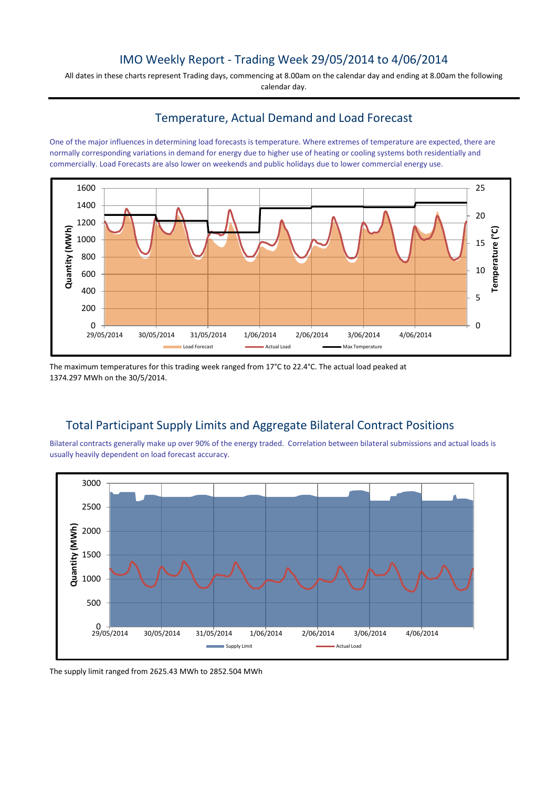### IMO Weekly Report - Trading Week 29/05/2014 to 4/06/2014

All dates in these charts represent Trading days, commencing at 8.00am on the calendar day and ending at 8.00am the following calendar day.

### Temperature, Actual Demand and Load Forecast

One of the major influences in determining load forecasts is temperature. Where extremes of temperature are expected, there are normally corresponding variations in demand for energy due to higher use of heating or cooling systems both residentially and commercially. Load Forecasts are also lower on weekends and public holidays due to lower commercial energy use.



The maximum temperatures for this trading week ranged from 17°C to 22.4°C. The actual load peaked at 1374.297 MWh on the 30/5/2014.

# Total Participant Supply Limits and Aggregate Bilateral Contract Positions

Bilateral contracts generally make up over 90% of the energy traded. Correlation between bilateral submissions and actual loads is usually heavily dependent on load forecast accuracy.



The supply limit ranged from 2625.43 MWh to 2852.504 MWh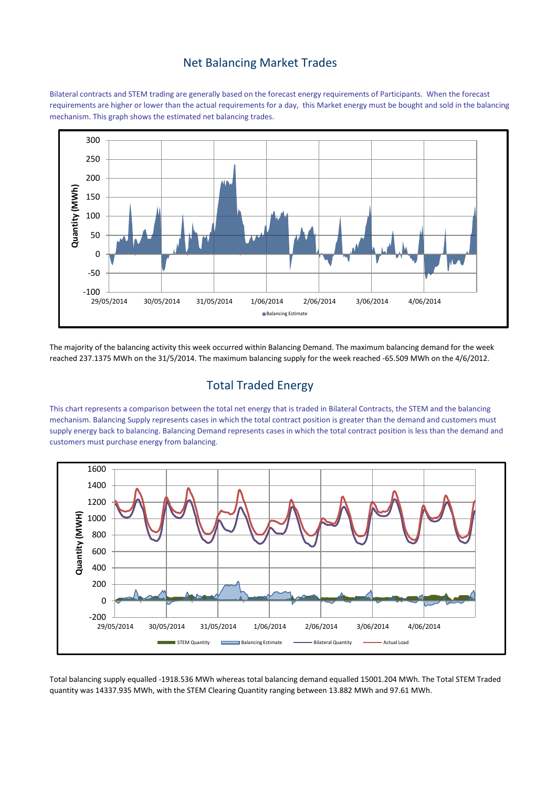#### Net Balancing Market Trades

Bilateral contracts and STEM trading are generally based on the forecast energy requirements of Participants. When the forecast requirements are higher or lower than the actual requirements for a day, this Market energy must be bought and sold in the balancing mechanism. This graph shows the estimated net balancing trades.



The majority of the balancing activity this week occurred within Balancing Demand. The maximum balancing demand for the week reached 237.1375 MWh on the 31/5/2014. The maximum balancing supply for the week reached -65.509 MWh on the 4/6/2012.

## Total Traded Energy

This chart represents a comparison between the total net energy that is traded in Bilateral Contracts, the STEM and the balancing mechanism. Balancing Supply represents cases in which the total contract position is greater than the demand and customers must supply energy back to balancing. Balancing Demand represents cases in which the total contract position is less than the demand and customers must purchase energy from balancing.



Total balancing supply equalled -1918.536 MWh whereas total balancing demand equalled 15001.204 MWh. The Total STEM Traded quantity was 14337.935 MWh, with the STEM Clearing Quantity ranging between 13.882 MWh and 97.61 MWh.